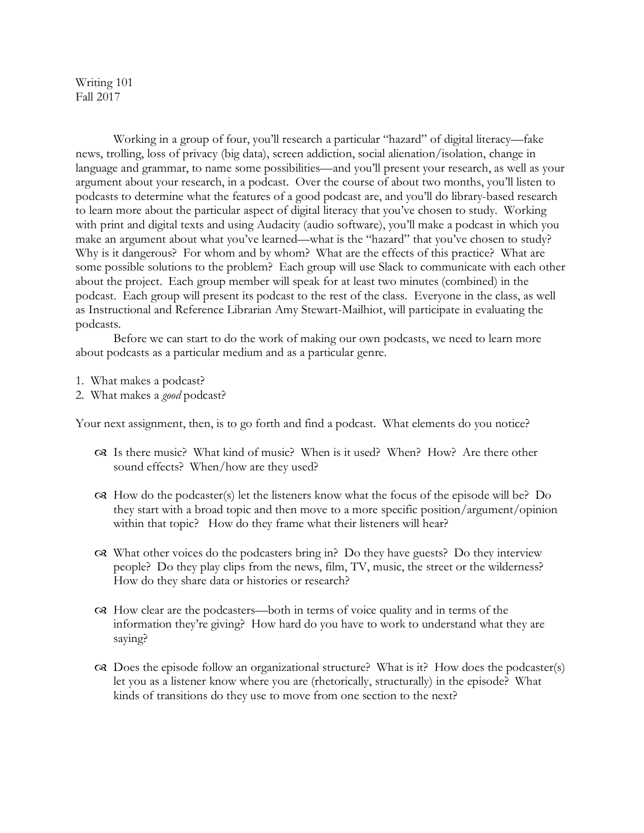Writing 101 Fall 2017

Working in a group of four, you'll research a particular "hazard" of digital literacy—fake news, trolling, loss of privacy (big data), screen addiction, social alienation/isolation, change in language and grammar, to name some possibilities—and you'll present your research, as well as your argument about your research, in a podcast. Over the course of about two months, you'll listen to podcasts to determine what the features of a good podcast are, and you'll do library-based research to learn more about the particular aspect of digital literacy that you've chosen to study. Working with print and digital texts and using Audacity (audio software), you'll make a podcast in which you make an argument about what you've learned—what is the "hazard" that you've chosen to study? Why is it dangerous? For whom and by whom? What are the effects of this practice? What are some possible solutions to the problem? Each group will use Slack to communicate with each other about the project. Each group member will speak for at least two minutes (combined) in the podcast. Each group will present its podcast to the rest of the class. Everyone in the class, as well as Instructional and Reference Librarian Amy Stewart-Mailhiot, will participate in evaluating the podcasts.

Before we can start to do the work of making our own podcasts, we need to learn more about podcasts as a particular medium and as a particular genre.

- 1. What makes a podcast?
- 2. What makes a *good* podcast?

Your next assignment, then, is to go forth and find a podcast. What elements do you notice?

- Is there music? What kind of music? When is it used? When? How? Are there other sound effects? When/how are they used?
- $\infty$  How do the podcaster(s) let the listeners know what the focus of the episode will be? Do they start with a broad topic and then move to a more specific position/argument/opinion within that topic? How do they frame what their listeners will hear?
- $\infty$  What other voices do the podcasters bring in? Do they have guests? Do they interview people? Do they play clips from the news, film, TV, music, the street or the wilderness? How do they share data or histories or research?
- How clear are the podcasters—both in terms of voice quality and in terms of the information they're giving? How hard do you have to work to understand what they are saying?
- Does the episode follow an organizational structure? What is it? How does the podcaster(s) let you as a listener know where you are (rhetorically, structurally) in the episode? What kinds of transitions do they use to move from one section to the next?